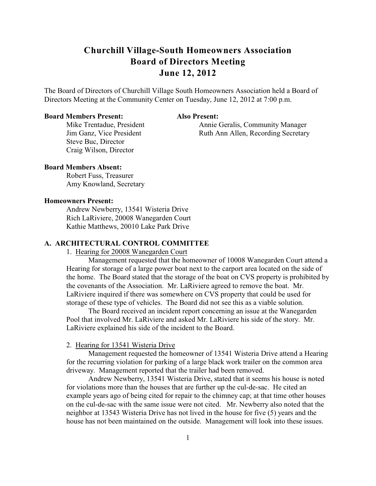The Board of Directors of Churchill Village South Homeowners Association held a Board of Directors Meeting at the Community Center on Tuesday, June 12, 2012 at 7:00 p.m.

# **Board Members Present: Also Present:**

Mike Trentadue, President Annie Geralis, Community Manager Jim Ganz, Vice President Ruth Ann Allen, Recording Secretary

Steve Buc, Director Craig Wilson, Director

# **Board Members Absent:**

Robert Fuss, Treasurer Amy Knowland, Secretary

# **Homeowners Present:**

Andrew Newberry, 13541 Wisteria Drive Rich LaRiviere, 20008 Wanegarden Court Kathie Matthews, 20010 Lake Park Drive

# **A. ARCHITECTURAL CONTROL COMMITTEE**

1. Hearing for 20008 Wanegarden Court

Management requested that the homeowner of 10008 Wanegarden Court attend a Hearing for storage of a large power boat next to the carport area located on the side of the home. The Board stated that the storage of the boat on CVS property is prohibited by the covenants of the Association. Mr. LaRiviere agreed to remove the boat. Mr. LaRiviere inquired if there was somewhere on CVS property that could be used for storage of these type of vehicles. The Board did not see this as a viable solution.

The Board received an incident report concerning an issue at the Wanegarden Pool that involved Mr. LaRiviere and asked Mr. LaRiviere his side of the story. Mr. LaRiviere explained his side of the incident to the Board.

# 2. Hearing for 13541 Wisteria Drive

Management requested the homeowner of 13541 Wisteria Drive attend a Hearing for the recurring violation for parking of a large black work trailer on the common area driveway. Management reported that the trailer had been removed.

Andrew Newberry, 13541 Wisteria Drive, stated that it seems his house is noted for violations more than the houses that are further up the cul-de-sac. He cited an example years ago of being cited for repair to the chimney cap; at that time other houses on the cul-de-sac with the same issue were not cited. Mr. Newberry also noted that the neighbor at 13543 Wisteria Drive has not lived in the house for five (5) years and the house has not been maintained on the outside. Management will look into these issues.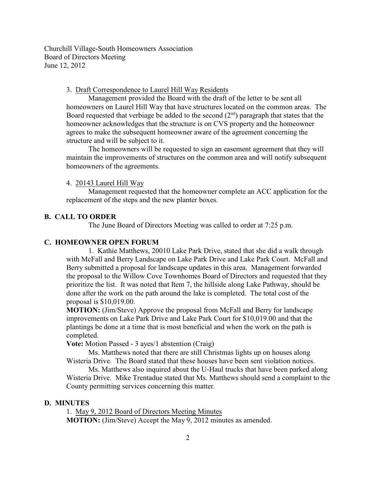3. Draft Correspondence to Laurel Hill Way Residents

Management provided the Board with the draft of the letter to be sent all homeowners on Laurel Hill Way that have structures located on the common areas. The Board requested that verbiage be added to the second  $(2<sup>nd</sup>)$  paragraph that states that the homeowner acknowledges that the structure is on CVS property and the homeowner agrees to make the subsequent homeowner aware of the agreement concerning the structure and will be subject to it.

The homeowners will be requested to sign an easement agreement that they will maintain the improvements of structures on the common area and will notify subsequent homeowners of the agreements.

# 4. 20143 Laurel Hill Way

Management requested that the homeowner complete an ACC application for the replacement of the steps and the new planter boxes.

# **B. CALL TO ORDER**

The June Board of Directors Meeting was called to order at 7:25 p.m.

### **C. HOMEOWNER OPEN FORUM**

1. Kathie Matthews, 20010 Lake Park Drive, stated that she did a walk through with McFall and Berry Landscape on Lake Park Drive and Lake Park Court. McFall and Berry submitted a proposal for landscape updates in this area. Management forwarded the proposal to the Willow Cove Townhomes Board of Directors and requested that they prioritize the list. It was noted that Item 7, the hillside along Lake Pathway, should be done after the work on the path around the lake is completed. The total cost of the proposal is \$10,019.00.

**MOTION:** (Jim/Steve) Approve the proposal from McFall and Berry for landscape improvements on Lake Park Drive and Lake Park Court for \$10,019.00 and that the plantings be done at a time that is most beneficial and when the work on the path is completed.

**Vote:** Motion Passed - 3 ayes/1 abstention (Craig)

Ms. Matthews noted that there are still Christmas lights up on houses along Wisteria Drive. The Board stated that these houses have been sent violation notices.

Ms. Matthews also inquired about the U-Haul trucks that have been parked along Wisteria Drive. Mike Trentadue stated that Ms. Matthews should send a complaint to the County permitting services concerning this matter.

# **D. MINUTES**

1. May 9, 2012 Board of Directors Meeting Minutes **MOTION:** (Jim/Steve) Accept the May 9, 2012 minutes as amended.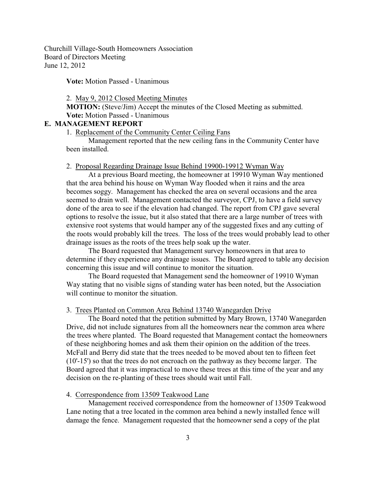**Vote:** Motion Passed - Unanimous

### 2. May 9, 2012 Closed Meeting Minutes

**MOTION:** (Steve/Jim) Accept the minutes of the Closed Meeting as submitted. **Vote:** Motion Passed - Unanimous

# **E. MANAGEMENT REPORT**

1. Replacement of the Community Center Ceiling Fans

Management reported that the new ceiling fans in the Community Center have been installed.

### 2. Proposal Regarding Drainage Issue Behind 19900-19912 Wyman Way

At a previous Board meeting, the homeowner at 19910 Wyman Way mentioned that the area behind his house on Wyman Way flooded when it rains and the area becomes soggy. Management has checked the area on several occasions and the area seemed to drain well. Management contacted the surveyor, CPJ, to have a field survey done of the area to see if the elevation had changed. The report from CPJ gave several options to resolve the issue, but it also stated that there are a large number of trees with extensive root systems that would hamper any of the suggested fixes and any cutting of the roots would probably kill the trees. The loss of the trees would probably lead to other drainage issues as the roots of the trees help soak up the water.

The Board requested that Management survey homeowners in that area to determine if they experience any drainage issues. The Board agreed to table any decision concerning this issue and will continue to monitor the situation.

The Board requested that Management send the homeowner of 19910 Wyman Way stating that no visible signs of standing water has been noted, but the Association will continue to monitor the situation.

# 3. Trees Planted on Common Area Behind 13740 Wanegarden Drive

The Board noted that the petition submitted by Mary Brown, 13740 Wanegarden Drive, did not include signatures from all the homeowners near the common area where the trees where planted. The Board requested that Management contact the homeowners of these neighboring homes and ask them their opinion on the addition of the trees. McFall and Berry did state that the trees needed to be moved about ten to fifteen feet (10'-15') so that the trees do not encroach on the pathway as they become larger. The Board agreed that it was impractical to move these trees at this time of the year and any decision on the re-planting of these trees should wait until Fall.

# 4. Correspondence from 13509 Teakwood Lane

Management received correspondence from the homeowner of 13509 Teakwood Lane noting that a tree located in the common area behind a newly installed fence will damage the fence. Management requested that the homeowner send a copy of the plat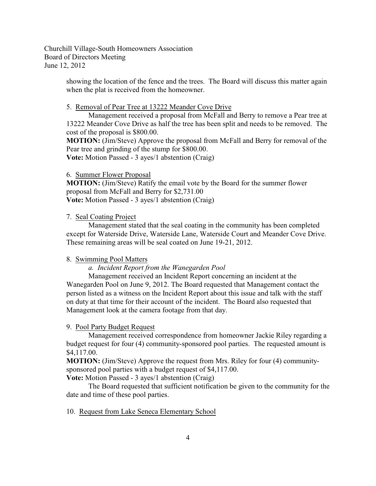> showing the location of the fence and the trees. The Board will discuss this matter again when the plat is received from the homeowner.

#### 5. Removal of Pear Tree at 13222 Meander Cove Drive

Management received a proposal from McFall and Berry to remove a Pear tree at 13222 Meander Cove Drive as half the tree has been split and needs to be removed. The cost of the proposal is \$800.00.

**MOTION:** (Jim/Steve) Approve the proposal from McFall and Berry for removal of the Pear tree and grinding of the stump for \$800.00.

**Vote:** Motion Passed - 3 ayes/1 abstention (Craig)

#### 6. Summer Flower Proposal

**MOTION:** (Jim/Steve) Ratify the email vote by the Board for the summer flower proposal from McFall and Berry for \$2,731.00 **Vote:** Motion Passed - 3 ayes/1 abstention (Craig)

#### 7. Seal Coating Project

Management stated that the seal coating in the community has been completed except for Waterside Drive, Waterside Lane, Waterside Court and Meander Cove Drive. These remaining areas will be seal coated on June 19-21, 2012.

#### 8. Swimming Pool Matters

*a. Incident Report from the Wanegarden Pool*

Management received an Incident Report concerning an incident at the Wanegarden Pool on June 9, 2012. The Board requested that Management contact the person listed as a witness on the Incident Report about this issue and talk with the staff on duty at that time for their account of the incident. The Board also requested that Management look at the camera footage from that day.

# 9. Pool Party Budget Request

Management received correspondence from homeowner Jackie Riley regarding a budget request for four (4) community-sponsored pool parties. The requested amount is \$4,117.00.

**MOTION:** (Jim/Steve) Approve the request from Mrs. Riley for four (4) communitysponsored pool parties with a budget request of \$4,117.00.

**Vote:** Motion Passed - 3 ayes/1 abstention (Craig)

The Board requested that sufficient notification be given to the community for the date and time of these pool parties.

# 10. Request from Lake Seneca Elementary School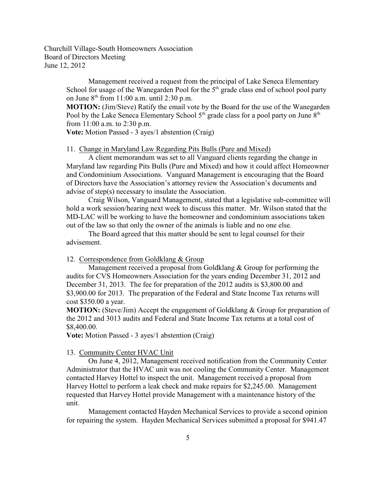> Management received a request from the principal of Lake Seneca Elementary School for usage of the Wanegarden Pool for the  $5<sup>th</sup>$  grade class end of school pool party on June  $8<sup>th</sup>$  from 11:00 a.m. until 2:30 p.m.

**MOTION:** (Jim/Steve) Ratify the email vote by the Board for the use of the Wanegarden Pool by the Lake Seneca Elementary School  $5<sup>th</sup>$  grade class for a pool party on June  $8<sup>th</sup>$ from 11:00 a.m. to 2:30 p.m.

**Vote:** Motion Passed - 3 ayes/1 abstention (Craig)

### 11. Change in Maryland Law Regarding Pits Bulls (Pure and Mixed)

A client memorandum was set to all Vanguard clients regarding the change in Maryland law regarding Pits Bulls (Pure and Mixed) and how it could affect Homeowner and Condominium Associations. Vanguard Management is encouraging that the Board of Directors have the Association's attorney review the Association's documents and advise of step(s) necessary to insulate the Association.

Craig Wilson, Vanguard Management, stated that a legislative sub-committee will hold a work session/hearing next week to discuss this matter. Mr. Wilson stated that the MD-LAC will be working to have the homeowner and condominium associations taken out of the law so that only the owner of the animals is liable and no one else.

The Board agreed that this matter should be sent to legal counsel for their advisement.

#### 12. Correspondence from Goldklang & Group

Management received a proposal from Goldklang & Group for performing the audits for CVS Homeowners Association for the years ending December 31, 2012 and December 31, 2013. The fee for preparation of the 2012 audits is \$3,800.00 and \$3,900.00 for 2013. The preparation of the Federal and State Income Tax returns will cost \$350.00 a year.

**MOTION:** (Steve/Jim) Accept the engagement of Goldklang & Group for preparation of the 2012 and 3013 audits and Federal and State Income Tax returns at a total cost of \$8,400.00.

**Vote:** Motion Passed - 3 ayes/1 abstention (Craig)

# 13. Community Center HVAC Unit

On June 4, 2012, Management received notification from the Community Center Administrator that the HVAC unit was not cooling the Community Center. Management contacted Harvey Hottel to inspect the unit. Management received a proposal from Harvey Hottel to perform a leak check and make repairs for \$2,245.00. Management requested that Harvey Hottel provide Management with a maintenance history of the unit.

Management contacted Hayden Mechanical Services to provide a second opinion for repairing the system. Hayden Mechanical Services submitted a proposal for \$941.47